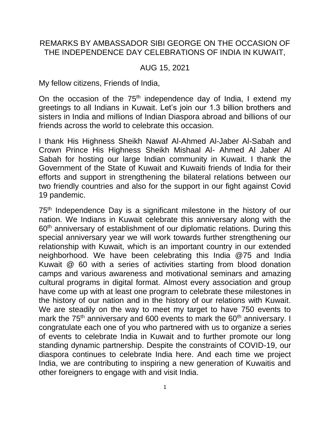## REMARKS BY AMBASSADOR SIBI GEORGE ON THE OCCASION OF THE INDEPENDENCE DAY CELEBRATIONS OF INDIA IN KUWAIT,

## AUG 15, 2021

My fellow citizens, Friends of India,

On the occasion of the 75<sup>th</sup> independence day of India, I extend my greetings to all Indians in Kuwait. Let's join our 1.3 billion brothers and sisters in India and millions of Indian Diaspora abroad and billions of our friends across the world to celebrate this occasion.

I thank His Highness Sheikh Nawaf Al-Ahmed Al-Jaber Al-Sabah and Crown Prince His Highness Sheikh Mishaal Al- Ahmed Al Jaber Al Sabah for hosting our large Indian community in Kuwait. I thank the Government of the State of Kuwait and Kuwaiti friends of India for their efforts and support in strengthening the bilateral relations between our two friendly countries and also for the support in our fight against Covid 19 pandemic.

75<sup>th</sup> Independence Day is a significant milestone in the history of our nation. We Indians in Kuwait celebrate this anniversary along with the 60<sup>th</sup> anniversary of establishment of our diplomatic relations. During this special anniversary year we will work towards further strengthening our relationship with Kuwait, which is an important country in our extended neighborhood. We have been celebrating this India @75 and India Kuwait @ 60 with a series of activities starting from blood donation camps and various awareness and motivational seminars and amazing cultural programs in digital format. Almost every association and group have come up with at least one program to celebrate these milestones in the history of our nation and in the history of our relations with Kuwait. We are steadily on the way to meet my target to have 750 events to mark the 75<sup>th</sup> anniversary and 600 events to mark the 60<sup>th</sup> anniversary. I congratulate each one of you who partnered with us to organize a series of events to celebrate India in Kuwait and to further promote our long standing dynamic partnership. Despite the constraints of COVID-19, our diaspora continues to celebrate India here. And each time we project India, we are contributing to inspiring a new generation of Kuwaitis and other foreigners to engage with and visit India.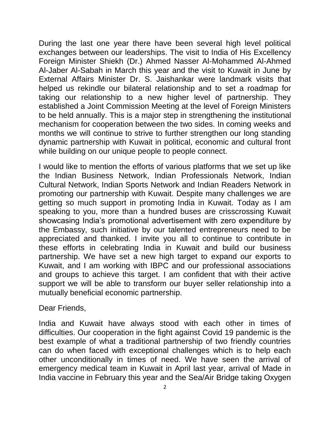During the last one year there have been several high level political exchanges between our leaderships. The visit to India of His Excellency Foreign Minister Shiekh (Dr.) Ahmed Nasser Al-Mohammed Al-Ahmed Al-Jaber Al-Sabah in March this year and the visit to Kuwait in June by External Affairs Minister Dr. S. Jaishankar were landmark visits that helped us rekindle our bilateral relationship and to set a roadmap for taking our relationship to a new higher level of partnership. They established a Joint Commission Meeting at the level of Foreign Ministers to be held annually. This is a major step in strengthening the institutional mechanism for cooperation between the two sides. In coming weeks and months we will continue to strive to further strengthen our long standing dynamic partnership with Kuwait in political, economic and cultural front while building on our unique people to people connect.

I would like to mention the efforts of various platforms that we set up like the Indian Business Network, Indian Professionals Network, Indian Cultural Network, Indian Sports Network and Indian Readers Network in promoting our partnership with Kuwait. Despite many challenges we are getting so much support in promoting India in Kuwait. Today as I am speaking to you, more than a hundred buses are crisscrossing Kuwait showcasing India's promotional advertisement with zero expenditure by the Embassy, such initiative by our talented entrepreneurs need to be appreciated and thanked. I invite you all to continue to contribute in these efforts in celebrating India in Kuwait and build our business partnership. We have set a new high target to expand our exports to Kuwait, and I am working with IBPC and our professional associations and groups to achieve this target. I am confident that with their active support we will be able to transform our buyer seller relationship into a mutually beneficial economic partnership.

Dear Friends,

India and Kuwait have always stood with each other in times of difficulties. Our cooperation in the fight against Covid 19 pandemic is the best example of what a traditional partnership of two friendly countries can do when faced with exceptional challenges which is to help each other unconditionally in times of need. We have seen the arrival of emergency medical team in Kuwait in April last year, arrival of Made in India vaccine in February this year and the Sea/Air Bridge taking Oxygen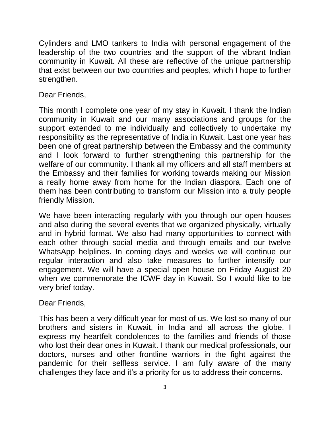Cylinders and LMO tankers to India with personal engagement of the leadership of the two countries and the support of the vibrant Indian community in Kuwait. All these are reflective of the unique partnership that exist between our two countries and peoples, which I hope to further strengthen.

Dear Friends,

This month I complete one year of my stay in Kuwait. I thank the Indian community in Kuwait and our many associations and groups for the support extended to me individually and collectively to undertake my responsibility as the representative of India in Kuwait. Last one year has been one of great partnership between the Embassy and the community and I look forward to further strengthening this partnership for the welfare of our community. I thank all my officers and all staff members at the Embassy and their families for working towards making our Mission a really home away from home for the Indian diaspora. Each one of them has been contributing to transform our Mission into a truly people friendly Mission.

We have been interacting regularly with you through our open houses and also during the several events that we organized physically, virtually and in hybrid format. We also had many opportunities to connect with each other through social media and through emails and our twelve WhatsApp helplines. In coming days and weeks we will continue our regular interaction and also take measures to further intensify our engagement. We will have a special open house on Friday August 20 when we commemorate the ICWF day in Kuwait. So I would like to be very brief today.

Dear Friends,

This has been a very difficult year for most of us. We lost so many of our brothers and sisters in Kuwait, in India and all across the globe. I express my heartfelt condolences to the families and friends of those who lost their dear ones in Kuwait. I thank our medical professionals, our doctors, nurses and other frontline warriors in the fight against the pandemic for their selfless service. I am fully aware of the many challenges they face and it's a priority for us to address their concerns.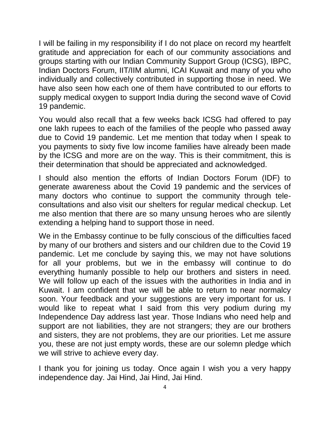I will be failing in my responsibility if I do not place on record my heartfelt gratitude and appreciation for each of our community associations and groups starting with our Indian Community Support Group (ICSG), IBPC, Indian Doctors Forum, IIT/IIM alumni, ICAI Kuwait and many of you who individually and collectively contributed in supporting those in need. We have also seen how each one of them have contributed to our efforts to supply medical oxygen to support India during the second wave of Covid 19 pandemic.

You would also recall that a few weeks back ICSG had offered to pay one lakh rupees to each of the families of the people who passed away due to Covid 19 pandemic. Let me mention that today when I speak to you payments to sixty five low income families have already been made by the ICSG and more are on the way. This is their commitment, this is their determination that should be appreciated and acknowledged.

I should also mention the efforts of Indian Doctors Forum (IDF) to generate awareness about the Covid 19 pandemic and the services of many doctors who continue to support the community through teleconsultations and also visit our shelters for regular medical checkup. Let me also mention that there are so many unsung heroes who are silently extending a helping hand to support those in need.

We in the Embassy continue to be fully conscious of the difficulties faced by many of our brothers and sisters and our children due to the Covid 19 pandemic. Let me conclude by saying this, we may not have solutions for all your problems, but we in the embassy will continue to do everything humanly possible to help our brothers and sisters in need. We will follow up each of the issues with the authorities in India and in Kuwait. I am confident that we will be able to return to near normalcy soon. Your feedback and your suggestions are very important for us. I would like to repeat what I said from this very podium during my Independence Day address last year. Those Indians who need help and support are not liabilities, they are not strangers; they are our brothers and sisters, they are not problems, they are our priorities. Let me assure you, these are not just empty words, these are our solemn pledge which we will strive to achieve every day.

I thank you for joining us today. Once again I wish you a very happy independence day. Jai Hind, Jai Hind, Jai Hind.